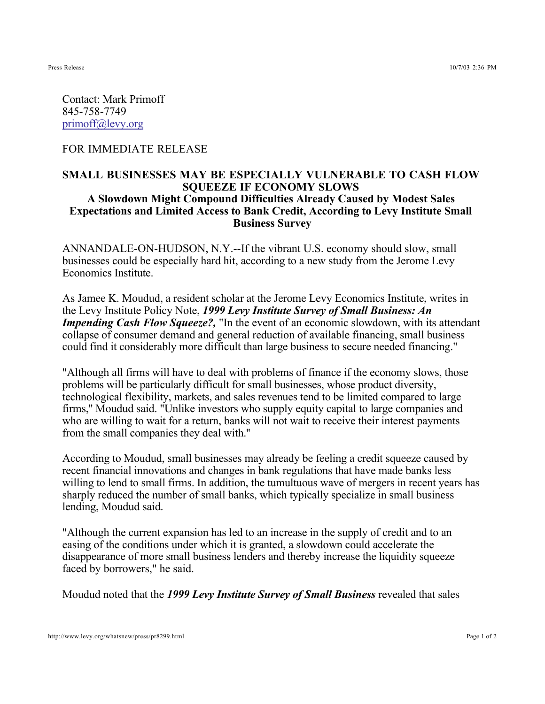Contact: Mark Primoff 845-758-7749 primoff@levy.org

FOR IMMEDIATE RELEASE

## **SMALL BUSINESSES MAY BE ESPECIALLY VULNERABLE TO CASH FLOW SQUEEZE IF ECONOMY SLOWS A Slowdown Might Compound Difficulties Already Caused by Modest Sales Expectations and Limited Access to Bank Credit, According to Levy Institute Small Business Survey**

ANNANDALE-ON-HUDSON, N.Y.--If the vibrant U.S. economy should slow, small businesses could be especially hard hit, according to a new study from the Jerome Levy Economics Institute.

As Jamee K. Moudud, a resident scholar at the Jerome Levy Economics Institute, writes in the Levy Institute Policy Note, *1999 Levy Institute Survey of Small Business: An Impending Cash Flow Squeeze?*, "In the event of an economic slowdown, with its attendant collapse of consumer demand and general reduction of available financing, small business could find it considerably more difficult than large business to secure needed financing."

"Although all firms will have to deal with problems of finance if the economy slows, those problems will be particularly difficult for small businesses, whose product diversity, technological flexibility, markets, and sales revenues tend to be limited compared to large firms,'' Moudud said. "Unlike investors who supply equity capital to large companies and who are willing to wait for a return, banks will not wait to receive their interest payments from the small companies they deal with.''

According to Moudud, small businesses may already be feeling a credit squeeze caused by recent financial innovations and changes in bank regulations that have made banks less willing to lend to small firms. In addition, the tumultuous wave of mergers in recent years has sharply reduced the number of small banks, which typically specialize in small business lending, Moudud said.

"Although the current expansion has led to an increase in the supply of credit and to an easing of the conditions under which it is granted, a slowdown could accelerate the disappearance of more small business lenders and thereby increase the liquidity squeeze faced by borrowers," he said.

Moudud noted that the *1999 Levy Institute Survey of Small Business* revealed that sales